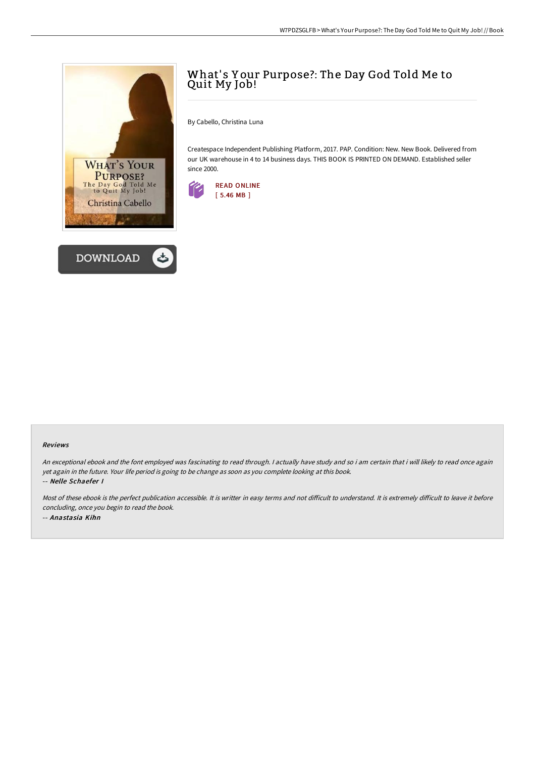



# What's Your Purpose?: The Day God Told Me to Quit My Job!

By Cabello, Christina Luna

Createspace Independent Publishing Platform, 2017. PAP. Condition: New. New Book. Delivered from our UK warehouse in 4 to 14 business days. THIS BOOK IS PRINTED ON DEMAND. Established seller since 2000.



#### Reviews

An exceptional ebook and the font employed was fascinating to read through. <sup>I</sup> actually have study and so i am certain that i will likely to read once again yet again in the future. Your life period is going to be change as soon as you complete looking at this book. -- Nelle Schaefer I

Most of these ebook is the perfect publication accessible. It is writter in easy terms and not difficult to understand. It is extremely difficult to leave it before concluding, once you begin to read the book. -- Anastasia Kihn